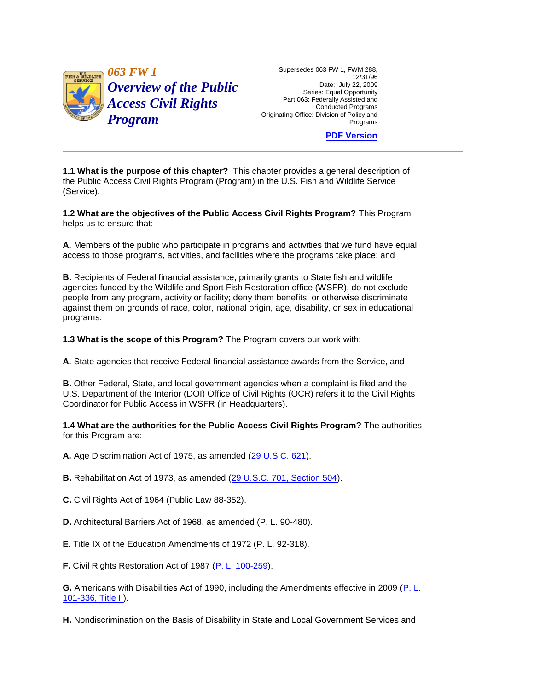

Date: July 22, 2009 Series: Equal Opportunity Part 063: Federally Assisted and

**[PDF Version](http://policy.fws.gov/063fw1.pdf)** 

 **1.1 What is the purpose of this chapter?** This chapter provides a general description of the Public Access Civil Rights Program (Program) in the U.S. Fish and Wildlife Service (Service).

 **1.2 What are the objectives of the Public Access Civil Rights Program?** This Program helps us to ensure that:

 access to those programs, activities, and facilities where the programs take place; and **A.** Members of the public who participate in programs and activities that we fund have equal

 **B.** Recipients of Federal financial assistance, primarily grants to State fish and wildlife agencies funded by the Wildlife and Sport Fish Restoration office (WSFR), do not exclude people from any program, activity or facility; deny them benefits; or otherwise discriminate against them on grounds of race, color, national origin, age, disability, or sex in educational programs.

**1.3 What is the scope of this Program?** The Program covers our work with:

**A.** State agencies that receive Federal financial assistance awards from the Service, and

**B.** Other Federal, State, and local government agencies when a complaint is filed and the U.S. Department of the Interior (DOI) Office of Civil Rights (OCR) refers it to the Civil Rights Coordinator for Public Access in WSFR (in Headquarters).

 **1.4 What are the authorities for the Public Access Civil Rights Program?** The authorities for this Program are:

**A.** Age Discrimination Act of 1975, as amended [\(29 U.S.C. 621\)](http://www.fws.gov/scripts/exit-to-fed.cfm?link=http://uscode.house.gov/search/criteria.shtml&linkname=U.S.%20Code%20Search).

**B.** Rehabilitation Act of 1973, as amended [\(29 U.S.C. 701, Section 504\)](http://www.fws.gov/scripts/exit-to-fed.cfm?link=http://uscode.house.gov/search/criteria.shtml&linkname=U.S.%20Code%20Search).

**C.** Civil Rights Act of 1964 (Public Law 88-352).

**D.** Architectural Barriers Act of 1968, as amended (P. L. 90-480).

**E.** Title IX of the Education Amendments of 1972 (P. L. 92-318).

**F.** Civil Rights Restoration Act of 1987 [\(P. L. 100-259\)](http://www.fws.gov/scripts/exit-to-fed.cfm?link=http://thomas.loc.gov/bss/d109/d109laws.html&linkname=Library%20of%20Congress%20THOMAS).

**G.** Americans with Disabilities Act of 1990, including the Amendments effective in 2009 [\(P. L.](http://www.fws.gov/scripts/exit-to-fed.cfm?link=http://thomas.loc.gov/bss/d109/d109laws.html&linkname=Library%20of%20Congress%20THOMAS)  [101-336, Title II\)](http://www.fws.gov/scripts/exit-to-fed.cfm?link=http://thomas.loc.gov/bss/d109/d109laws.html&linkname=Library%20of%20Congress%20THOMAS).

**H.** Nondiscrimination on the Basis of Disability in State and Local Government Services and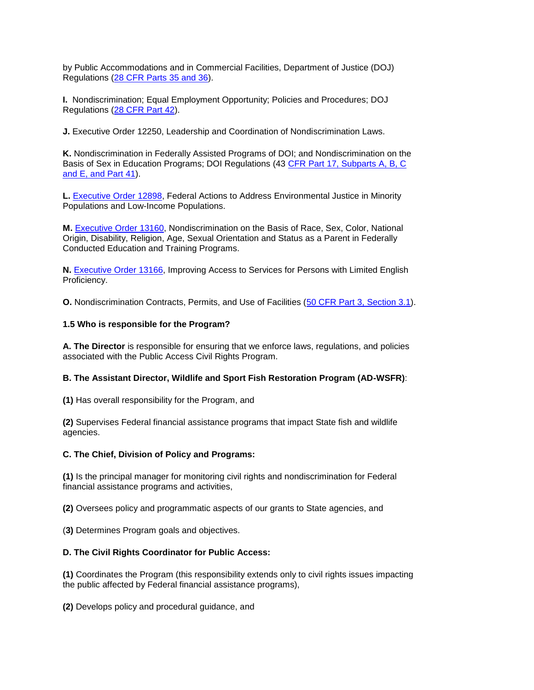by Public Accommodations and in Commercial Facilities, Department of Justice (DOJ) Regulations [\(28 CFR Parts 35 and 36\)](http://www.fws.gov/scripts/exit-to-fed.cfm?link=http://www.gpoaccess.gov/ecfr/&linkname=eCFR).

**I.** Nondiscrimination; Equal Employment Opportunity; Policies and Procedures; DOJ Regulations [\(28 CFR Part 42\)](http://www.fws.gov/scripts/exit-to-fed.cfm?link=http://www.gpoaccess.gov/ecfr/&linkname=eCFR).

**J.** Executive Order 12250, Leadership and Coordination of Nondiscrimination Laws.

**K.** Nondiscrimination in Federally Assisted Programs of DOI; and Nondiscrimination on the Basis of Sex in Education Programs; DOI Regulations (43 [CFR Part 17, Subparts A, B, C](http://www.fws.gov/scripts/exit-to-fed.cfm?link=http://www.gpoaccess.gov/ecfr/&linkname=eCFR)  [and E, and Part 41\)](http://www.fws.gov/scripts/exit-to-fed.cfm?link=http://www.gpoaccess.gov/ecfr/&linkname=eCFR).

**L.** [Executive Order 12898,](http://www.fws.gov/scripts/exit-to-fed.cfm?link=http://www.archives.gov/federal-register/executive-orders/disposition.html&linkname=National%20Archives%20-%20Executive%20Orders) Federal Actions to Address Environmental Justice in Minority Populations and Low-Income Populations.

 **M.** [Executive Order 13160,](http://www.fws.gov/scripts/exit-to-fed.cfm?link=http://www.archives.gov/federal-register/executive-orders/disposition.html&linkname=National%20Archives%20-%20Executive%20Orders) Nondiscrimination on the Basis of Race, Sex, Color, National Conducted Education and Training Programs. Origin, Disability, Religion, Age, Sexual Orientation and Status as a Parent in Federally

**N.** [Executive Order 13166,](http://www.fws.gov/scripts/exit-to-fed.cfm?link=http://www.archives.gov/federal-register/executive-orders/disposition.html&linkname=National%20Archives%20-%20Executive%20Orders) Improving Access to Services for Persons with Limited English Proficiency.

**O.** Nondiscrimination Contracts, Permits, and Use of Facilities [\(50 CFR Part 3, Section 3.1\)](http://www.fws.gov/scripts/exit-to-fed.cfm?link=http://www.gpoaccess.gov/ecfr/&linkname=eCFR).

## **1.5 Who is responsible for the Program?**

 **A. The Director** is responsible for ensuring that we enforce laws, regulations, and policies associated with the Public Access Civil Rights Program.

### **B. The Assistant Director, Wildlife and Sport Fish Restoration Program (AD-WSFR)**:

**(1)** Has overall responsibility for the Program, and

**(2)** Supervises Federal financial assistance programs that impact State fish and wildlife agencies.

### **C. The Chief, Division of Policy and Programs:**

**(1)** Is the principal manager for monitoring civil rights and nondiscrimination for Federal financial assistance programs and activities,

**(2)** Oversees policy and programmatic aspects of our grants to State agencies, and

(**3)** Determines Program goals and objectives.

### **D. The Civil Rights Coordinator for Public Access:**

**(1)** Coordinates the Program (this responsibility extends only to civil rights issues impacting the public affected by Federal financial assistance programs),

**(2)** Develops policy and procedural guidance, and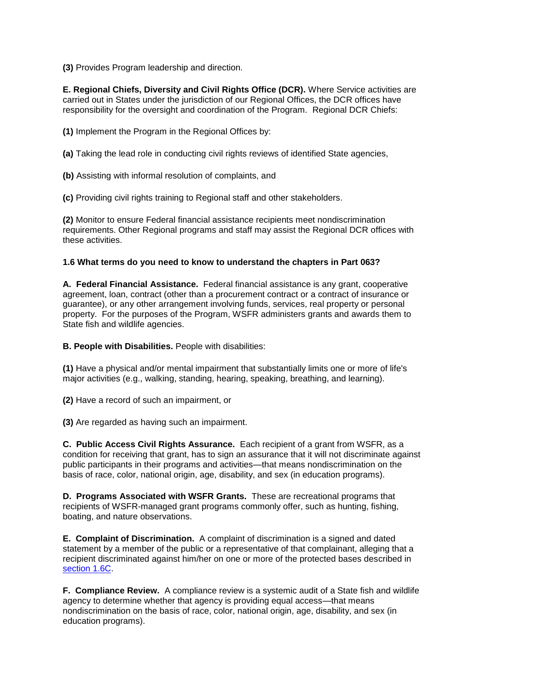**(3)** Provides Program leadership and direction.

**E. Regional Chiefs, Diversity and Civil Rights Office (DCR).** Where Service activities are carried out in States under the jurisdiction of our Regional Offices, the DCR offices have responsibility for the oversight and coordination of the Program. Regional DCR Chiefs:

**(1)** Implement the Program in the Regional Offices by:

**(a)** Taking the lead role in conducting civil rights reviews of identified State agencies,

**(b)** Assisting with informal resolution of complaints, and

**(c)** Providing civil rights training to Regional staff and other stakeholders.

**(2)** Monitor to ensure Federal financial assistance recipients meet nondiscrimination requirements. Other Regional programs and staff may assist the Regional DCR offices with these activities.

### **1.6 What terms do you need to know to understand the chapters in Part 063?**

**A. Federal Financial Assistance.** Federal financial assistance is any grant, cooperative agreement, loan, contract (other than a procurement contract or a contract of insurance or guarantee), or any other arrangement involving funds, services, real property or personal property. For the purposes of the Program, WSFR administers grants and awards them to State fish and wildlife agencies.

**B. People with Disabilities.** People with disabilities:

 **(1)** Have a physical and/or mental impairment that substantially limits one or more of life's major activities (e.g., walking, standing, hearing, speaking, breathing, and learning).

**(2)** Have a record of such an impairment, or

**(3)** Are regarded as having such an impairment.

 condition for receiving that grant, has to sign an assurance that it will not discriminate against **C. Public Access Civil Rights Assurance.** Each recipient of a grant from WSFR, as a public participants in their programs and activities—that means nondiscrimination on the basis of race, color, national origin, age, disability, and sex (in education programs).

 **D. Programs Associated with WSFR Grants.** These are recreational programs that recipients of WSFR-managed grant programs commonly offer, such as hunting, fishing, boating, and nature observations.

**E. Complaint of Discrimination.** A complaint of discrimination is a signed and dated statement by a member of the public or a representative of that complainant, alleging that a recipient discriminated against him/her on one or more of the protected bases described in [section 1.6C.](http://www.fws.gov/policy/063fw1.html#section16c)

 agency to determine whether that agency is providing equal access—that means **F. Compliance Review.** A compliance review is a systemic audit of a State fish and wildlife nondiscrimination on the basis of race, color, national origin, age, disability, and sex (in education programs).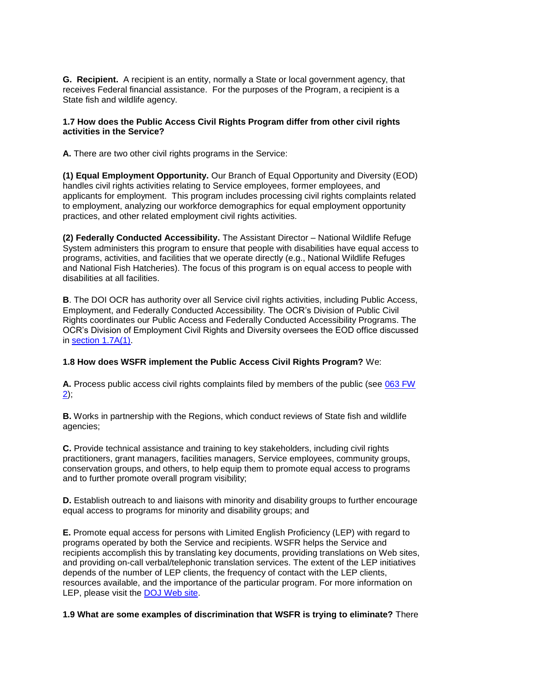**G. Recipient.** A recipient is an entity, normally a State or local government agency, that receives Federal financial assistance. For the purposes of the Program, a recipient is a State fish and wildlife agency.

### **1.7 How does the Public Access Civil Rights Program differ from other civil rights activities in the Service?**

**A.** There are two other civil rights programs in the Service:

**(1) Equal Employment Opportunity.** Our Branch of Equal Opportunity and Diversity (EOD) handles civil rights activities relating to Service employees, former employees, and applicants for employment. This program includes processing civil rights complaints related to employment, analyzing our workforce demographics for equal employment opportunity practices, and other related employment civil rights activities.

**(2) Federally Conducted Accessibility.** The Assistant Director – National Wildlife Refuge System administers this program to ensure that people with disabilities have equal access to programs, activities, and facilities that we operate directly (e.g., National Wildlife Refuges and National Fish Hatcheries). The focus of this program is on equal access to people with disabilities at all facilities.

 **B**. The DOI OCR has authority over all Service civil rights activities, including Public Access, Employment, and Federally Conducted Accessibility. The OCR's Division of Public Civil Rights coordinates our Public Access and Federally Conducted Accessibility Programs. The OCR's Division of Employment Civil Rights and Diversity oversees the EOD office discussed in [section 1.7A\(1\).](http://www.fws.gov/policy/063fw1.html#section17a1)

# **1.8 How does WSFR implement the Public Access Civil Rights Program?** We:

**A.** Process public access civil rights complaints filed by members of the public (see [063 FW](http://www.fws.gov/policy/063fw2.html)   $2)$ ;

**B.** Works in partnership with the Regions, which conduct reviews of State fish and wildlife agencies;

 conservation groups, and others, to help equip them to promote equal access to programs **C.** Provide technical assistance and training to key stakeholders, including civil rights practitioners, grant managers, facilities managers, Service employees, community groups, and to further promote overall program visibility;

**D.** Establish outreach to and liaisons with minority and disability groups to further encourage equal access to programs for minority and disability groups; and

 programs operated by both the Service and recipients. WSFR helps the Service and and providing on-call verbal/telephonic translation services. The extent of the LEP initiatives **E.** Promote equal access for persons with Limited English Proficiency (LEP) with regard to recipients accomplish this by translating key documents, providing translations on Web sites, depends of the number of LEP clients, the frequency of contact with the LEP clients, resources available, and the importance of the particular program. For more information on LEP, please visit the [DOJ Web site.](http://www.fws.gov/scripts/exit-to-fed.cfm?link=http://www.lep.gov&linkname=Limited%20English%20Proficiency%20Website)

### **1.9 What are some examples of discrimination that WSFR is trying to eliminate?** There